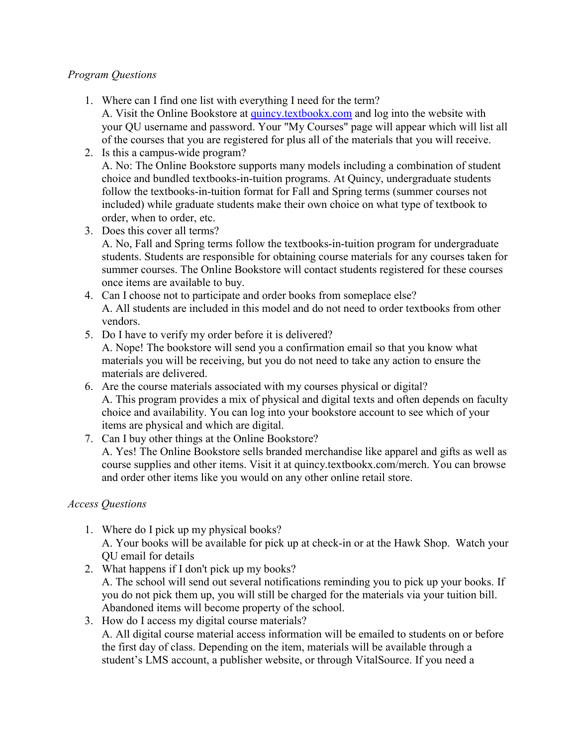### *Program Questions*

1. Where can I find one list with everything I need for the term?

A. Visit the Online Bookstore at [quincy.textbookx.com](http://quincy.textbookx.com/) and log into the website with your QU username and password. Your "My Courses" page will appear which will list all of the courses that you are registered for plus all of the materials that you will receive.

- 2. Is this a campus-wide program? A. No: The Online Bookstore supports many models including a combination of student choice and bundled textbooks-in-tuition programs. At Quincy, undergraduate students follow the textbooks-in-tuition format for Fall and Spring terms (summer courses not included) while graduate students make their own choice on what type of textbook to order, when to order, etc.
- 3. Does this cover all terms? A. No, Fall and Spring terms follow the textbooks-in-tuition program for undergraduate students. Students are responsible for obtaining course materials for any courses taken for summer courses. The Online Bookstore will contact students registered for these courses once items are available to buy.
- 4. Can I choose not to participate and order books from someplace else? A. All students are included in this model and do not need to order textbooks from other vendors.
- 5. Do I have to verify my order before it is delivered? A. Nope! The bookstore will send you a confirmation email so that you know what materials you will be receiving, but you do not need to take any action to ensure the materials are delivered.
- 6. Are the course materials associated with my courses physical or digital? A. This program provides a mix of physical and digital texts and often depends on faculty choice and availability. You can log into your bookstore account to see which of your items are physical and which are digital.
- 7. Can I buy other things at the Online Bookstore? A. Yes! The Online Bookstore sells branded merchandise like apparel and gifts as well as course supplies and other items. Visit it at quincy.textbookx.com/merch. You can browse and order other items like you would on any other online retail store.

# *Access Questions*

- 1. Where do I pick up my physical books? A. Your books will be available for pick up at check-in or at the Hawk Shop. Watch your QU email for details
- 2. What happens if I don't pick up my books? A. The school will send out several notifications reminding you to pick up your books. If you do not pick them up, you will still be charged for the materials via your tuition bill. Abandoned items will become property of the school.
- 3. How do I access my digital course materials? A. All digital course material access information will be emailed to students on or before the first day of class. Depending on the item, materials will be available through a student's LMS account, a publisher website, or through VitalSource. If you need a